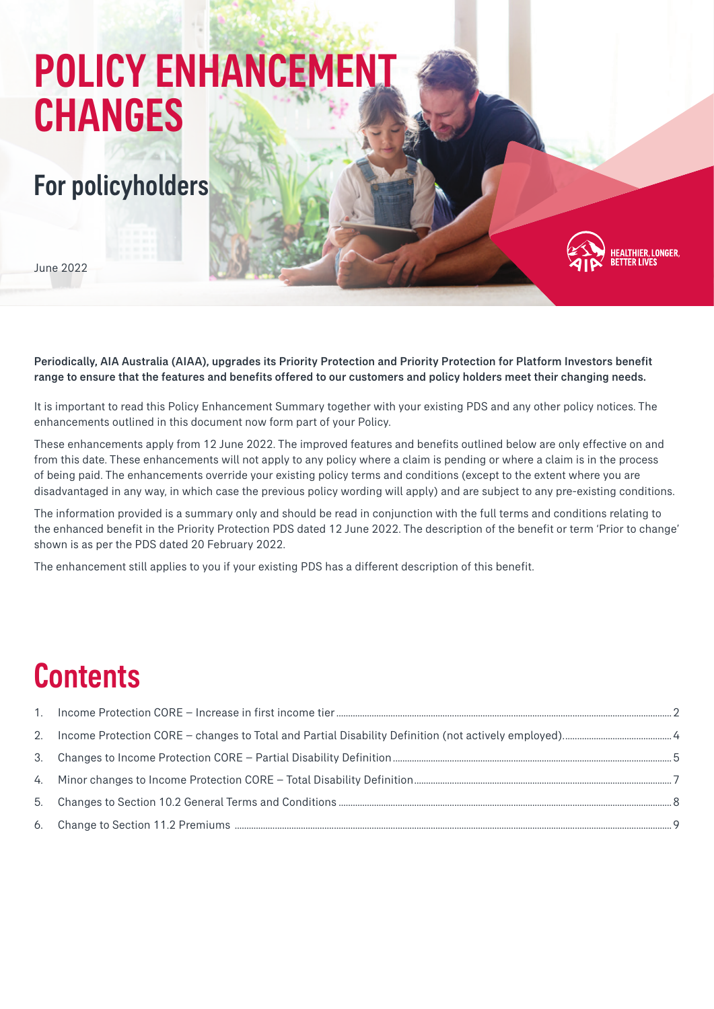# POLICY ENHANCEMENT CHANGES

### For policyholders

June 2022

Periodically, AIA Australia (AIAA), upgrades its Priority Protection and Priority Protection for Platform Investors benefit range to ensure that the features and benefits offered to our customers and policy holders meet their changing needs.

**LITHIER, LONGER**<br>TER LIVES

It is important to read this Policy Enhancement Summary together with your existing PDS and any other policy notices. The enhancements outlined in this document now form part of your Policy.

These enhancements apply from 12 June 2022. The improved features and benefits outlined below are only effective on and from this date. These enhancements will not apply to any policy where a claim is pending or where a claim is in the process of being paid. The enhancements override your existing policy terms and conditions (except to the extent where you are disadvantaged in any way, in which case the previous policy wording will apply) and are subject to any pre-existing conditions.

The information provided is a summary only and should be read in conjunction with the full terms and conditions relating to the enhanced benefit in the Priority Protection PDS dated 12 June 2022. The description of the benefit or term 'Prior to change' shown is as per the PDS dated 20 February 2022.

The enhancement still applies to you if your existing PDS has a different description of this benefit.

## **Contents**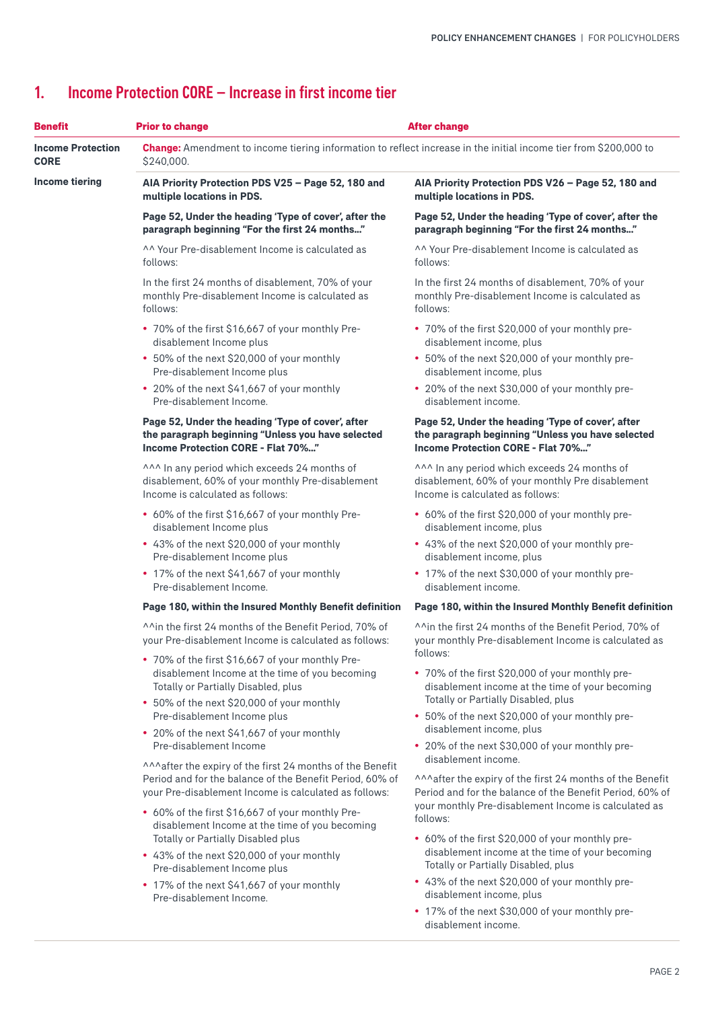| <b>Benefit</b>                          | <b>Prior to change</b>                                                                                                                       | After change                                                                                                                                                                  |  |
|-----------------------------------------|----------------------------------------------------------------------------------------------------------------------------------------------|-------------------------------------------------------------------------------------------------------------------------------------------------------------------------------|--|
| <b>Income Protection</b><br><b>CORE</b> | \$240,000.                                                                                                                                   | Change: Amendment to income tiering information to reflect increase in the initial income tier from \$200,000 to                                                              |  |
| Income tiering                          | AIA Priority Protection PDS V25 - Page 52, 180 and<br>multiple locations in PDS.                                                             | AIA Priority Protection PDS V26 - Page 52, 180 and<br>multiple locations in PDS.                                                                                              |  |
|                                         | Page 52, Under the heading 'Type of cover', after the<br>paragraph beginning "For the first 24 months"                                       | Page 52, Under the heading 'Type of cover', after the<br>paragraph beginning "For the first 24 months"                                                                        |  |
|                                         | AA Your Pre-disablement Income is calculated as<br>follows:                                                                                  | AA Your Pre-disablement Income is calculated as<br>follows:                                                                                                                   |  |
|                                         | In the first 24 months of disablement, 70% of your<br>monthly Pre-disablement Income is calculated as<br>follows:                            | In the first 24 months of disablement, 70% of your<br>monthly Pre-disablement Income is calculated as<br>follows:                                                             |  |
|                                         | • 70% of the first \$16,667 of your monthly Pre-<br>disablement Income plus                                                                  | • 70% of the first \$20,000 of your monthly pre-<br>disablement income, plus                                                                                                  |  |
|                                         | • 50% of the next \$20,000 of your monthly<br>Pre-disablement Income plus                                                                    | • 50% of the next \$20,000 of your monthly pre-<br>disablement income, plus                                                                                                   |  |
|                                         | • 20% of the next \$41,667 of your monthly<br>Pre-disablement Income.                                                                        | • 20% of the next \$30,000 of your monthly pre-<br>disablement income.                                                                                                        |  |
|                                         | Page 52, Under the heading 'Type of cover', after<br>the paragraph beginning "Unless you have selected<br>Income Protection CORE - Flat 70%" | Page 52, Under the heading 'Type of cover', after<br>the paragraph beginning "Unless you have selected<br><b>Income Protection CORE - Flat 70%"</b>                           |  |
|                                         | ^^^ In any period which exceeds 24 months of<br>disablement, 60% of your monthly Pre-disablement<br>Income is calculated as follows:         | AAA In any period which exceeds 24 months of<br>disablement, 60% of your monthly Pre disablement<br>Income is calculated as follows:                                          |  |
|                                         | • 60% of the first \$16,667 of your monthly Pre-<br>disablement Income plus                                                                  | • 60% of the first \$20,000 of your monthly pre-<br>disablement income, plus                                                                                                  |  |
|                                         | • 43% of the next \$20,000 of your monthly<br>Pre-disablement Income plus                                                                    | • 43% of the next \$20,000 of your monthly pre-<br>disablement income, plus                                                                                                   |  |
|                                         | • 17% of the next \$41,667 of your monthly<br>Pre-disablement Income.                                                                        | • 17% of the next \$30,000 of your monthly pre-<br>disablement income.                                                                                                        |  |
|                                         | Page 180, within the Insured Monthly Benefit definition                                                                                      | Page 180, within the Insured Monthly Benefit definition                                                                                                                       |  |
|                                         | ^^in the first 24 months of the Benefit Period, 70% of<br>your Pre-disablement Income is calculated as follows:                              | ^^in the first 24 months of the Benefit Period, 70% of<br>your monthly Pre-disablement Income is calculated as                                                                |  |
|                                         | • 70% of the first \$16,667 of your monthly Pre-<br>disablement Income at the time of you becoming                                           | follows:<br>• 70% of the first \$20,000 of your monthly pre-                                                                                                                  |  |
|                                         | Totally or Partially Disabled, plus                                                                                                          | disablement income at the time of your becoming<br>Totally or Partially Disabled, plus                                                                                        |  |
|                                         | • 50% of the next \$20,000 of your monthly<br>Pre-disablement Income plus                                                                    | • 50% of the next \$20,000 of your monthly pre-                                                                                                                               |  |
|                                         | • 20% of the next \$41,667 of your monthly<br>Pre-disablement Income                                                                         | disablement income, plus<br>• 20% of the next \$30,000 of your monthly pre-                                                                                                   |  |
|                                         | ^^^after the expiry of the first 24 months of the Benefit                                                                                    | disablement income.                                                                                                                                                           |  |
|                                         | Period and for the balance of the Benefit Period, 60% of<br>your Pre-disablement Income is calculated as follows:                            | AAAafter the expiry of the first 24 months of the Benefit<br>Period and for the balance of the Benefit Period, 60% of<br>your monthly Pre-disablement Income is calculated as |  |
|                                         | • 60% of the first \$16,667 of your monthly Pre-<br>disablement Income at the time of you becoming<br>Totally or Partially Disabled plus     | follows:<br>• 60% of the first \$20,000 of your monthly pre-                                                                                                                  |  |
|                                         | • 43% of the next \$20,000 of your monthly<br>Pre-disablement Income plus                                                                    | disablement income at the time of your becoming<br>Totally or Partially Disabled, plus                                                                                        |  |
|                                         | • 17% of the next \$41,667 of your monthly<br>Pre-disablement Income.                                                                        | • 43% of the next \$20,000 of your monthly pre-<br>disablement income, plus                                                                                                   |  |
|                                         |                                                                                                                                              | • 17% of the next \$30,000 of your monthly pre-<br>disablement income.                                                                                                        |  |

#### <span id="page-1-0"></span>1. Income Protection CORE – Increase in first income tier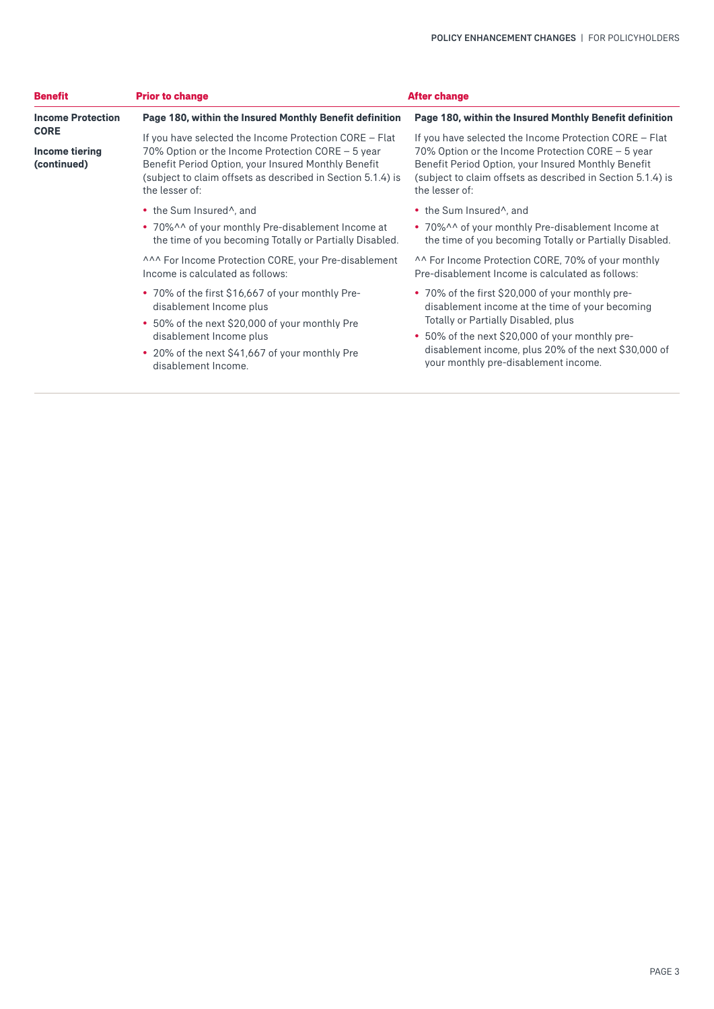| <b>Benefit</b>                               | <b>Prior to change</b>                                                                                                                                                                                                                              | <b>After change</b>                                                                                                                                                                                                                                 |
|----------------------------------------------|-----------------------------------------------------------------------------------------------------------------------------------------------------------------------------------------------------------------------------------------------------|-----------------------------------------------------------------------------------------------------------------------------------------------------------------------------------------------------------------------------------------------------|
| <b>Income Protection</b>                     | Page 180, within the Insured Monthly Benefit definition                                                                                                                                                                                             | Page 180, within the Insured Monthly Benefit definition                                                                                                                                                                                             |
| <b>CORE</b><br>Income tiering<br>(continued) | If you have selected the Income Protection CORE - Flat<br>70% Option or the Income Protection CORE – 5 year<br>Benefit Period Option, your Insured Monthly Benefit<br>(subject to claim offsets as described in Section 5.1.4) is<br>the lesser of: | If you have selected the Income Protection CORE - Flat<br>70% Option or the Income Protection CORE – 5 year<br>Benefit Period Option, your Insured Monthly Benefit<br>(subject to claim offsets as described in Section 5.1.4) is<br>the lesser of: |
|                                              | • the Sum Insured <sup>^</sup> , and<br>• 70%^^ of your monthly Pre-disablement Income at<br>the time of you becoming Totally or Partially Disabled.                                                                                                | • the Sum Insured <sup>^</sup> , and<br>• 70%^^ of your monthly Pre-disablement Income at<br>the time of you becoming Totally or Partially Disabled.                                                                                                |
|                                              | AAA For Income Protection CORE, your Pre-disablement<br>Income is calculated as follows:                                                                                                                                                            | AA For Income Protection CORE, 70% of your monthly<br>Pre-disablement Income is calculated as follows:                                                                                                                                              |
|                                              | • 70% of the first \$16,667 of your monthly Pre-<br>disablement Income plus<br>• 50% of the next \$20,000 of your monthly Pre                                                                                                                       | • 70% of the first \$20,000 of your monthly pre-<br>disablement income at the time of your becoming<br>Totally or Partially Disabled, plus                                                                                                          |
|                                              | disablement Income plus<br>• 20% of the next \$41,667 of your monthly Pre<br>disablement Income.                                                                                                                                                    | • 50% of the next \$20,000 of your monthly pre-<br>disablement income, plus 20% of the next \$30,000 of<br>your monthly pre-disablement income.                                                                                                     |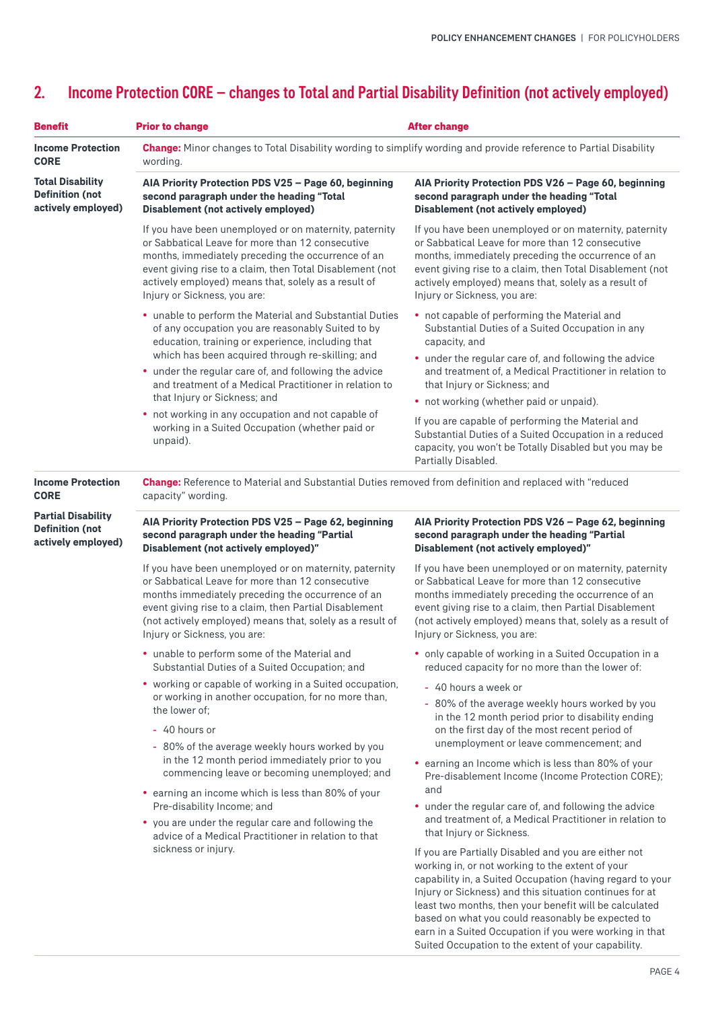| <b>Benefit</b>                                                            | <b>Prior to change</b>                                                                                                                                                                                                                                                                                                                                                                                                                                                                                                          | <b>After change</b>                                                                                                                                                                                                                                                                                                                                                                                                                                                                                                                                                                                                                                                                                                                                                                     |  |
|---------------------------------------------------------------------------|---------------------------------------------------------------------------------------------------------------------------------------------------------------------------------------------------------------------------------------------------------------------------------------------------------------------------------------------------------------------------------------------------------------------------------------------------------------------------------------------------------------------------------|-----------------------------------------------------------------------------------------------------------------------------------------------------------------------------------------------------------------------------------------------------------------------------------------------------------------------------------------------------------------------------------------------------------------------------------------------------------------------------------------------------------------------------------------------------------------------------------------------------------------------------------------------------------------------------------------------------------------------------------------------------------------------------------------|--|
| <b>Income Protection</b><br><b>CORE</b>                                   | <b>Change:</b> Minor changes to Total Disability wording to simplify wording and provide reference to Partial Disability<br>wording.                                                                                                                                                                                                                                                                                                                                                                                            |                                                                                                                                                                                                                                                                                                                                                                                                                                                                                                                                                                                                                                                                                                                                                                                         |  |
| <b>Total Disability</b><br><b>Definition (not</b><br>actively employed)   | AIA Priority Protection PDS V25 - Page 60, beginning<br>second paragraph under the heading "Total<br><b>Disablement (not actively employed)</b>                                                                                                                                                                                                                                                                                                                                                                                 | AIA Priority Protection PDS V26 - Page 60, beginning<br>second paragraph under the heading "Total<br><b>Disablement (not actively employed)</b>                                                                                                                                                                                                                                                                                                                                                                                                                                                                                                                                                                                                                                         |  |
|                                                                           | If you have been unemployed or on maternity, paternity<br>or Sabbatical Leave for more than 12 consecutive<br>months, immediately preceding the occurrence of an<br>event giving rise to a claim, then Total Disablement (not<br>actively employed) means that, solely as a result of<br>Injury or Sickness, you are:                                                                                                                                                                                                           | If you have been unemployed or on maternity, paternity<br>or Sabbatical Leave for more than 12 consecutive<br>months, immediately preceding the occurrence of an<br>event giving rise to a claim, then Total Disablement (not<br>actively employed) means that, solely as a result of<br>Injury or Sickness, you are:                                                                                                                                                                                                                                                                                                                                                                                                                                                                   |  |
|                                                                           | • unable to perform the Material and Substantial Duties<br>of any occupation you are reasonably Suited to by<br>education, training or experience, including that<br>which has been acquired through re-skilling; and<br>• under the regular care of, and following the advice<br>and treatment of a Medical Practitioner in relation to<br>that Injury or Sickness; and                                                                                                                                                        | • not capable of performing the Material and<br>Substantial Duties of a Suited Occupation in any<br>capacity, and<br>• under the regular care of, and following the advice<br>and treatment of, a Medical Practitioner in relation to<br>that Injury or Sickness; and<br>• not working (whether paid or unpaid).                                                                                                                                                                                                                                                                                                                                                                                                                                                                        |  |
|                                                                           | • not working in any occupation and not capable of<br>working in a Suited Occupation (whether paid or<br>unpaid).                                                                                                                                                                                                                                                                                                                                                                                                               | If you are capable of performing the Material and<br>Substantial Duties of a Suited Occupation in a reduced<br>capacity, you won't be Totally Disabled but you may be<br>Partially Disabled.                                                                                                                                                                                                                                                                                                                                                                                                                                                                                                                                                                                            |  |
| <b>Income Protection</b><br><b>CORE</b>                                   | <b>Change:</b> Reference to Material and Substantial Duties removed from definition and replaced with "reduced<br>capacity" wording.                                                                                                                                                                                                                                                                                                                                                                                            |                                                                                                                                                                                                                                                                                                                                                                                                                                                                                                                                                                                                                                                                                                                                                                                         |  |
| <b>Partial Disability</b><br><b>Definition (not</b><br>actively employed) | AIA Priority Protection PDS V25 - Page 62, beginning<br>second paragraph under the heading "Partial<br>Disablement (not actively employed)"                                                                                                                                                                                                                                                                                                                                                                                     | AIA Priority Protection PDS V26 - Page 62, beginning<br>second paragraph under the heading "Partial<br>Disablement (not actively employed)"                                                                                                                                                                                                                                                                                                                                                                                                                                                                                                                                                                                                                                             |  |
|                                                                           | If you have been unemployed or on maternity, paternity<br>or Sabbatical Leave for more than 12 consecutive<br>months immediately preceding the occurrence of an<br>event giving rise to a claim, then Partial Disablement<br>(not actively employed) means that, solely as a result of<br>Injury or Sickness, you are:                                                                                                                                                                                                          | If you have been unemployed or on maternity, paternity<br>or Sabbatical Leave for more than 12 consecutive<br>months immediately preceding the occurrence of an<br>event giving rise to a claim, then Partial Disablement<br>(not actively employed) means that, solely as a result of<br>Injury or Sickness, you are:                                                                                                                                                                                                                                                                                                                                                                                                                                                                  |  |
|                                                                           | • unable to perform some of the Material and<br>Substantial Duties of a Suited Occupation; and                                                                                                                                                                                                                                                                                                                                                                                                                                  | • only capable of working in a Suited Occupation in a<br>reduced capacity for no more than the lower of:                                                                                                                                                                                                                                                                                                                                                                                                                                                                                                                                                                                                                                                                                |  |
|                                                                           | • working or capable of working in a Suited occupation,<br>or working in another occupation, for no more than,<br>the lower of:<br>- 40 hours or<br>- 80% of the average weekly hours worked by you<br>in the 12 month period immediately prior to you<br>commencing leave or becoming unemployed; and<br>• earning an income which is less than 80% of your<br>Pre-disability Income; and<br>• you are under the regular care and following the<br>advice of a Medical Practitioner in relation to that<br>sickness or injury. | - 40 hours a week or<br>- 80% of the average weekly hours worked by you<br>in the 12 month period prior to disability ending<br>on the first day of the most recent period of<br>unemployment or leave commencement; and<br>• earning an Income which is less than 80% of your<br>Pre-disablement Income (Income Protection CORE);<br>and<br>• under the regular care of, and following the advice<br>and treatment of, a Medical Practitioner in relation to<br>that Injury or Sickness.<br>If you are Partially Disabled and you are either not<br>working in, or not working to the extent of your<br>capability in, a Suited Occupation (having regard to your<br>Injury or Sickness) and this situation continues for at<br>least two months, then your benefit will be calculated |  |

#### 2. Income Protection CORE – changes to Total and Partial Disability Definition (not actively employed)

earn in a Suited Occupation if you were working in that Suited Occupation to the extent of your capability.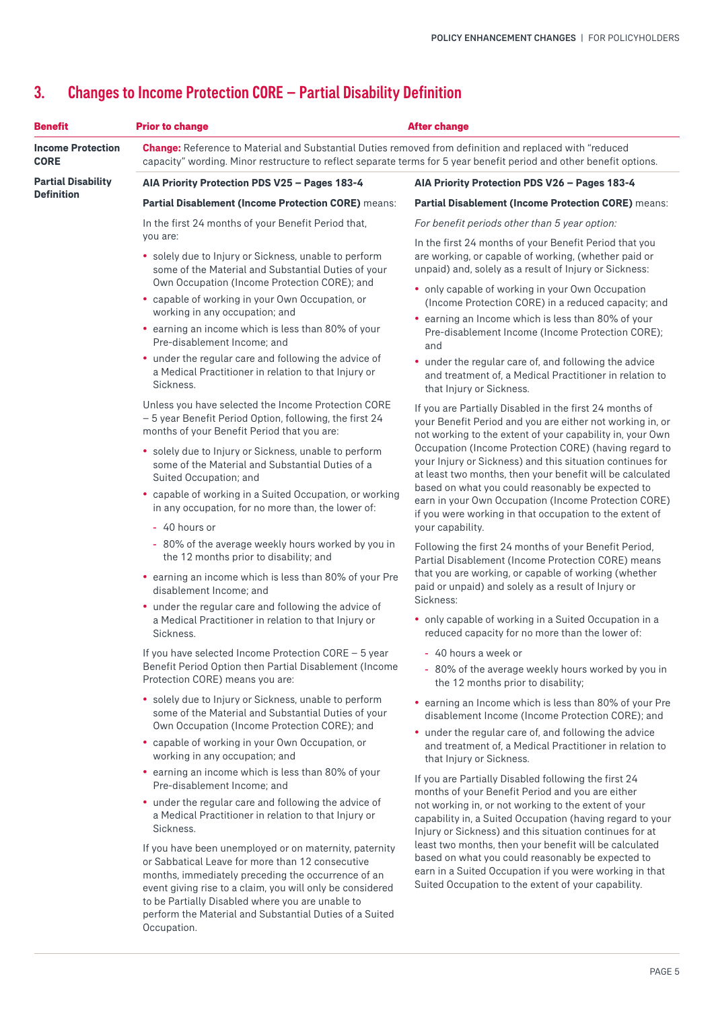| <b>Benefit</b>                          | <b>Prior to change</b>                                                                                                                                                                                                                                                                                                                       | <b>After change</b>                                                                                                                                                                                                           |  |
|-----------------------------------------|----------------------------------------------------------------------------------------------------------------------------------------------------------------------------------------------------------------------------------------------------------------------------------------------------------------------------------------------|-------------------------------------------------------------------------------------------------------------------------------------------------------------------------------------------------------------------------------|--|
| <b>Income Protection</b><br><b>CORE</b> | <b>Change:</b> Reference to Material and Substantial Duties removed from definition and replaced with "reduced<br>capacity" wording. Minor restructure to reflect separate terms for 5 year benefit period and other benefit options.                                                                                                        |                                                                                                                                                                                                                               |  |
| <b>Partial Disability</b>               | AIA Priority Protection PDS V25 - Pages 183-4                                                                                                                                                                                                                                                                                                | AIA Priority Protection PDS V26 - Pages 183-4                                                                                                                                                                                 |  |
| <b>Definition</b>                       | Partial Disablement (Income Protection CORE) means:                                                                                                                                                                                                                                                                                          | Partial Disablement (Income Protection CORE) means:                                                                                                                                                                           |  |
|                                         | In the first 24 months of your Benefit Period that,                                                                                                                                                                                                                                                                                          | For benefit periods other than 5 year option:                                                                                                                                                                                 |  |
|                                         | you are:<br>• solely due to Injury or Sickness, unable to perform<br>some of the Material and Substantial Duties of your<br>Own Occupation (Income Protection CORE); and<br>• capable of working in your Own Occupation, or<br>working in any occupation; and                                                                                | In the first 24 months of your Benefit Period that you                                                                                                                                                                        |  |
|                                         |                                                                                                                                                                                                                                                                                                                                              | are working, or capable of working, (whether paid or<br>unpaid) and, solely as a result of Injury or Sickness:                                                                                                                |  |
|                                         |                                                                                                                                                                                                                                                                                                                                              | • only capable of working in your Own Occupation<br>(Income Protection CORE) in a reduced capacity; and                                                                                                                       |  |
|                                         | • earning an income which is less than 80% of your<br>Pre-disablement Income: and                                                                                                                                                                                                                                                            | • earning an Income which is less than 80% of your<br>Pre-disablement Income (Income Protection CORE);<br>and                                                                                                                 |  |
|                                         | • under the regular care and following the advice of<br>a Medical Practitioner in relation to that Injury or<br>Sickness.                                                                                                                                                                                                                    | • under the regular care of, and following the advice<br>and treatment of, a Medical Practitioner in relation to<br>that Injury or Sickness.                                                                                  |  |
|                                         | Unless you have selected the Income Protection CORE<br>- 5 year Benefit Period Option, following, the first 24<br>months of your Benefit Period that you are:                                                                                                                                                                                | If you are Partially Disabled in the first 24 months of<br>your Benefit Period and you are either not working in, or<br>not working to the extent of your capability in, your Own                                             |  |
|                                         | • solely due to Injury or Sickness, unable to perform<br>some of the Material and Substantial Duties of a<br>Suited Occupation; and                                                                                                                                                                                                          | Occupation (Income Protection CORE) (having regard to<br>your Injury or Sickness) and this situation continues for<br>at least two months, then your benefit will be calculated                                               |  |
|                                         | • capable of working in a Suited Occupation, or working<br>in any occupation, for no more than, the lower of:                                                                                                                                                                                                                                | based on what you could reasonably be expected to<br>earn in your Own Occupation (Income Protection CORE)<br>if you were working in that occupation to the extent of                                                          |  |
|                                         | - 40 hours or                                                                                                                                                                                                                                                                                                                                | your capability.                                                                                                                                                                                                              |  |
|                                         | - 80% of the average weekly hours worked by you in<br>the 12 months prior to disability; and                                                                                                                                                                                                                                                 | Following the first 24 months of your Benefit Period,<br>Partial Disablement (Income Protection CORE) means                                                                                                                   |  |
|                                         | • earning an income which is less than 80% of your Pre<br>disablement Income; and                                                                                                                                                                                                                                                            | that you are working, or capable of working (whether<br>paid or unpaid) and solely as a result of Injury or<br>Sickness:                                                                                                      |  |
|                                         | • under the regular care and following the advice of<br>a Medical Practitioner in relation to that Injury or<br>Sickness.                                                                                                                                                                                                                    | • only capable of working in a Suited Occupation in a<br>reduced capacity for no more than the lower of:                                                                                                                      |  |
|                                         | If you have selected Income Protection CORE - 5 year                                                                                                                                                                                                                                                                                         | - 40 hours a week or                                                                                                                                                                                                          |  |
|                                         | Benefit Period Option then Partial Disablement (Income<br>Protection CORE) means you are:                                                                                                                                                                                                                                                    | - 80% of the average weekly hours worked by you in<br>the 12 months prior to disability;                                                                                                                                      |  |
|                                         | • solely due to Injury or Sickness, unable to perform<br>some of the Material and Substantial Duties of your<br>Own Occupation (Income Protection CORE); and                                                                                                                                                                                 | • earning an Income which is less than 80% of your Pre<br>disablement Income (Income Protection CORE); and                                                                                                                    |  |
|                                         | • capable of working in your Own Occupation, or<br>working in any occupation; and                                                                                                                                                                                                                                                            | • under the regular care of, and following the advice<br>and treatment of, a Medical Practitioner in relation to<br>that Injury or Sickness.                                                                                  |  |
|                                         | • earning an income which is less than 80% of your<br>Pre-disablement Income; and                                                                                                                                                                                                                                                            | If you are Partially Disabled following the first 24<br>months of your Benefit Period and you are either                                                                                                                      |  |
|                                         | • under the regular care and following the advice of<br>a Medical Practitioner in relation to that Injury or<br>Sickness.                                                                                                                                                                                                                    | not working in, or not working to the extent of your<br>capability in, a Suited Occupation (having regard to your<br>Injury or Sickness) and this situation continues for at                                                  |  |
|                                         | If you have been unemployed or on maternity, paternity<br>or Sabbatical Leave for more than 12 consecutive<br>months, immediately preceding the occurrence of an<br>event giving rise to a claim, you will only be considered<br>to be Partially Disabled where you are unable to<br>perform the Material and Substantial Duties of a Suited | least two months, then your benefit will be calculated<br>based on what you could reasonably be expected to<br>earn in a Suited Occupation if you were working in that<br>Suited Occupation to the extent of your capability. |  |

### <span id="page-4-0"></span>3. Changes to Income Protection CORE – Partial Disability Definition

Occupation.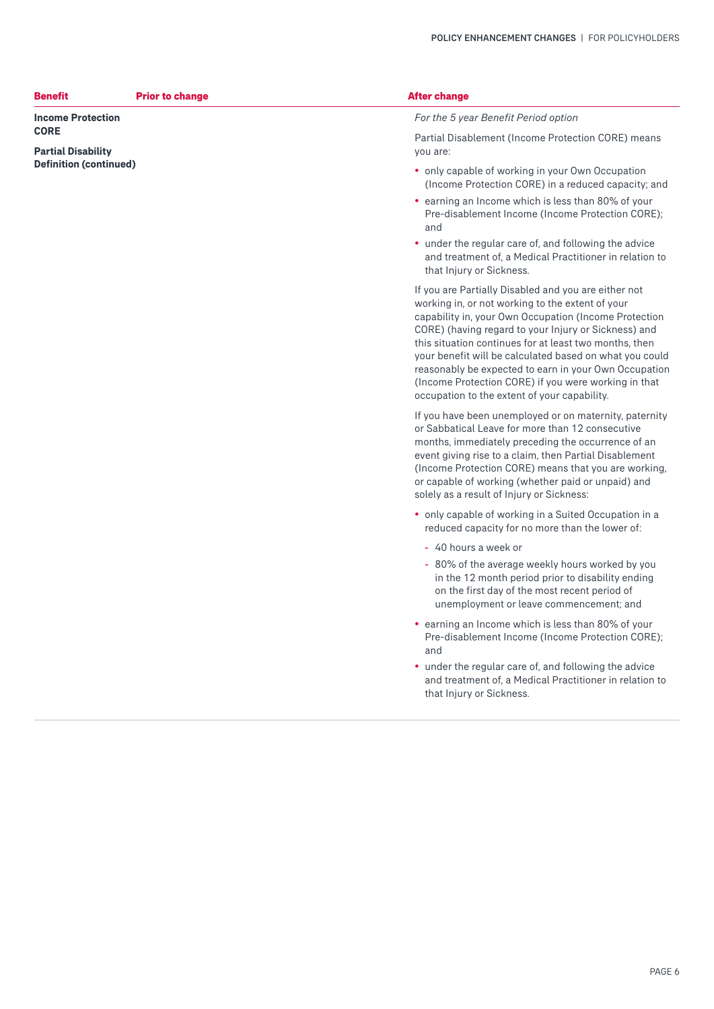<span id="page-5-0"></span>

| <b>Benefit</b>                           | <b>Prior to change</b> | <b>After change</b>                                                                                                                                                                                                                                                                                                                                                                                                                                                                                             |
|------------------------------------------|------------------------|-----------------------------------------------------------------------------------------------------------------------------------------------------------------------------------------------------------------------------------------------------------------------------------------------------------------------------------------------------------------------------------------------------------------------------------------------------------------------------------------------------------------|
| <b>Income Protection</b>                 |                        | For the 5 year Benefit Period option                                                                                                                                                                                                                                                                                                                                                                                                                                                                            |
| <b>CORE</b><br><b>Partial Disability</b> |                        | Partial Disablement (Income Protection CORE) means<br>you are:                                                                                                                                                                                                                                                                                                                                                                                                                                                  |
| <b>Definition (continued)</b>            |                        | • only capable of working in your Own Occupation<br>(Income Protection CORE) in a reduced capacity; and                                                                                                                                                                                                                                                                                                                                                                                                         |
|                                          |                        | • earning an Income which is less than 80% of your<br>Pre-disablement Income (Income Protection CORE);<br>and                                                                                                                                                                                                                                                                                                                                                                                                   |
|                                          |                        | • under the regular care of, and following the advice<br>and treatment of, a Medical Practitioner in relation to<br>that Injury or Sickness.                                                                                                                                                                                                                                                                                                                                                                    |
|                                          |                        | If you are Partially Disabled and you are either not<br>working in, or not working to the extent of your<br>capability in, your Own Occupation (Income Protection<br>CORE) (having regard to your Injury or Sickness) and<br>this situation continues for at least two months, then<br>your benefit will be calculated based on what you could<br>reasonably be expected to earn in your Own Occupation<br>(Income Protection CORE) if you were working in that<br>occupation to the extent of your capability. |
|                                          |                        | If you have been unemployed or on maternity, paternity<br>or Sabbatical Leave for more than 12 consecutive<br>months, immediately preceding the occurrence of an<br>event giving rise to a claim, then Partial Disablement<br>(Income Protection CORE) means that you are working,<br>or capable of working (whether paid or unpaid) and<br>solely as a result of Injury or Sickness:                                                                                                                           |
|                                          |                        | • only capable of working in a Suited Occupation in a<br>reduced capacity for no more than the lower of:                                                                                                                                                                                                                                                                                                                                                                                                        |
|                                          |                        | - 40 hours a week or                                                                                                                                                                                                                                                                                                                                                                                                                                                                                            |
|                                          |                        | - 80% of the average weekly hours worked by you<br>in the 12 month period prior to disability ending<br>on the first day of the most recent period of<br>unemployment or leave commencement; and                                                                                                                                                                                                                                                                                                                |
|                                          |                        | • earning an Income which is less than 80% of your<br>Pre-disablement Income (Income Protection CORE);<br>and                                                                                                                                                                                                                                                                                                                                                                                                   |
|                                          |                        | • under the regular care of, and following the advice<br>and treatment of, a Medical Practitioner in relation to<br>that Injury or Sickness.                                                                                                                                                                                                                                                                                                                                                                    |
|                                          |                        |                                                                                                                                                                                                                                                                                                                                                                                                                                                                                                                 |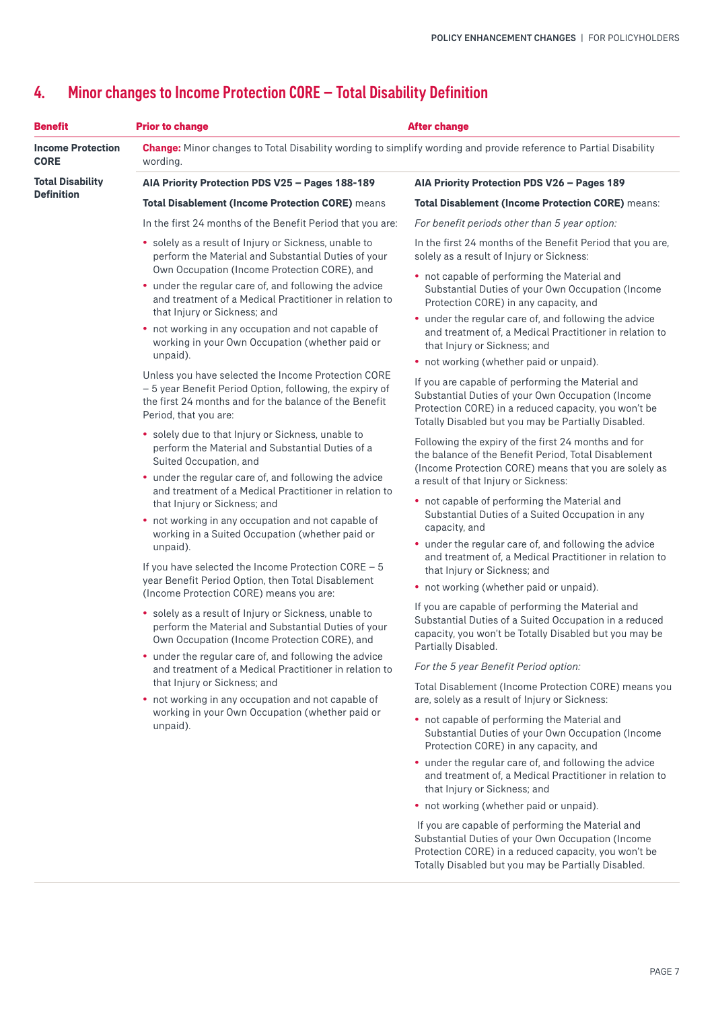| <b>Benefit</b>                          | <b>Prior to change</b>                                                                                                                                                                                                                                                                                                                                                                                                                    | <b>After change</b>                                                                                                                                                                                                   |  |
|-----------------------------------------|-------------------------------------------------------------------------------------------------------------------------------------------------------------------------------------------------------------------------------------------------------------------------------------------------------------------------------------------------------------------------------------------------------------------------------------------|-----------------------------------------------------------------------------------------------------------------------------------------------------------------------------------------------------------------------|--|
| <b>Income Protection</b><br><b>CORE</b> | <b>Change:</b> Minor changes to Total Disability wording to simplify wording and provide reference to Partial Disability<br>wording.                                                                                                                                                                                                                                                                                                      |                                                                                                                                                                                                                       |  |
| <b>Total Disability</b>                 | AIA Priority Protection PDS V25 - Pages 188-189                                                                                                                                                                                                                                                                                                                                                                                           | AIA Priority Protection PDS V26 - Pages 189                                                                                                                                                                           |  |
| <b>Definition</b>                       | <b>Total Disablement (Income Protection CORE)</b> means                                                                                                                                                                                                                                                                                                                                                                                   | <b>Total Disablement (Income Protection CORE)</b> means:                                                                                                                                                              |  |
|                                         | In the first 24 months of the Benefit Period that you are:                                                                                                                                                                                                                                                                                                                                                                                | For benefit periods other than 5 year option:                                                                                                                                                                         |  |
|                                         | · solely as a result of Injury or Sickness, unable to<br>perform the Material and Substantial Duties of your<br>Own Occupation (Income Protection CORE), and                                                                                                                                                                                                                                                                              | In the first 24 months of the Benefit Period that you are,<br>solely as a result of Injury or Sickness:                                                                                                               |  |
|                                         | • under the regular care of, and following the advice<br>and treatment of a Medical Practitioner in relation to<br>that Injury or Sickness; and<br>• not working in any occupation and not capable of<br>working in your Own Occupation (whether paid or                                                                                                                                                                                  | • not capable of performing the Material and<br>Substantial Duties of your Own Occupation (Income<br>Protection CORE) in any capacity, and                                                                            |  |
|                                         |                                                                                                                                                                                                                                                                                                                                                                                                                                           | • under the regular care of, and following the advice<br>and treatment of, a Medical Practitioner in relation to<br>that Injury or Sickness; and                                                                      |  |
|                                         | unpaid).                                                                                                                                                                                                                                                                                                                                                                                                                                  | • not working (whether paid or unpaid).                                                                                                                                                                               |  |
|                                         | Unless you have selected the Income Protection CORE<br>- 5 year Benefit Period Option, following, the expiry of<br>the first 24 months and for the balance of the Benefit<br>Period, that you are:                                                                                                                                                                                                                                        | If you are capable of performing the Material and<br>Substantial Duties of your Own Occupation (Income<br>Protection CORE) in a reduced capacity, you won't be<br>Totally Disabled but you may be Partially Disabled. |  |
|                                         | · solely due to that Injury or Sickness, unable to<br>perform the Material and Substantial Duties of a<br>Suited Occupation, and                                                                                                                                                                                                                                                                                                          | Following the expiry of the first 24 months and for<br>the balance of the Benefit Period, Total Disablement<br>(Income Protection CORE) means that you are solely as                                                  |  |
|                                         | • under the regular care of, and following the advice<br>and treatment of a Medical Practitioner in relation to<br>that Injury or Sickness; and                                                                                                                                                                                                                                                                                           | a result of that Injury or Sickness:<br>• not capable of performing the Material and                                                                                                                                  |  |
|                                         | • not working in any occupation and not capable of<br>working in a Suited Occupation (whether paid or<br>unpaid).<br>If you have selected the Income Protection CORE - 5<br>year Benefit Period Option, then Total Disablement<br>(Income Protection CORE) means you are:<br>· solely as a result of Injury or Sickness, unable to<br>perform the Material and Substantial Duties of your<br>Own Occupation (Income Protection CORE), and | Substantial Duties of a Suited Occupation in any<br>capacity, and                                                                                                                                                     |  |
|                                         |                                                                                                                                                                                                                                                                                                                                                                                                                                           | • under the regular care of, and following the advice<br>and treatment of, a Medical Practitioner in relation to<br>that Injury or Sickness; and                                                                      |  |
|                                         |                                                                                                                                                                                                                                                                                                                                                                                                                                           | • not working (whether paid or unpaid).                                                                                                                                                                               |  |
|                                         |                                                                                                                                                                                                                                                                                                                                                                                                                                           | If you are capable of performing the Material and<br>Substantial Duties of a Suited Occupation in a reduced<br>capacity, you won't be Totally Disabled but you may be<br>Partially Disabled.                          |  |
|                                         | • under the regular care of, and following the advice<br>and treatment of a Medical Practitioner in relation to<br>that Injury or Sickness; and<br>• not working in any occupation and not capable of<br>working in your Own Occupation (whether paid or<br>unpaid).                                                                                                                                                                      | For the 5 year Benefit Period option:                                                                                                                                                                                 |  |
|                                         |                                                                                                                                                                                                                                                                                                                                                                                                                                           | Total Disablement (Income Protection CORE) means you<br>are, solely as a result of Injury or Sickness:                                                                                                                |  |
|                                         |                                                                                                                                                                                                                                                                                                                                                                                                                                           | • not capable of performing the Material and<br>Substantial Duties of your Own Occupation (Income<br>Protection CORE) in any capacity, and                                                                            |  |
|                                         |                                                                                                                                                                                                                                                                                                                                                                                                                                           | • under the regular care of, and following the advice<br>and treatment of, a Medical Practitioner in relation to<br>that Injury or Sickness; and                                                                      |  |
|                                         |                                                                                                                                                                                                                                                                                                                                                                                                                                           | • not working (whether paid or unpaid).                                                                                                                                                                               |  |
|                                         |                                                                                                                                                                                                                                                                                                                                                                                                                                           | If you are capable of performing the Material and<br>Substantial Duties of your Own Occupation (Income<br>Protection CORE) in a reduced capacity, you won't be<br>Totally Disabled but you may be Partially Disabled. |  |

### 4. Minor changes to Income Protection CORE – Total Disability Definition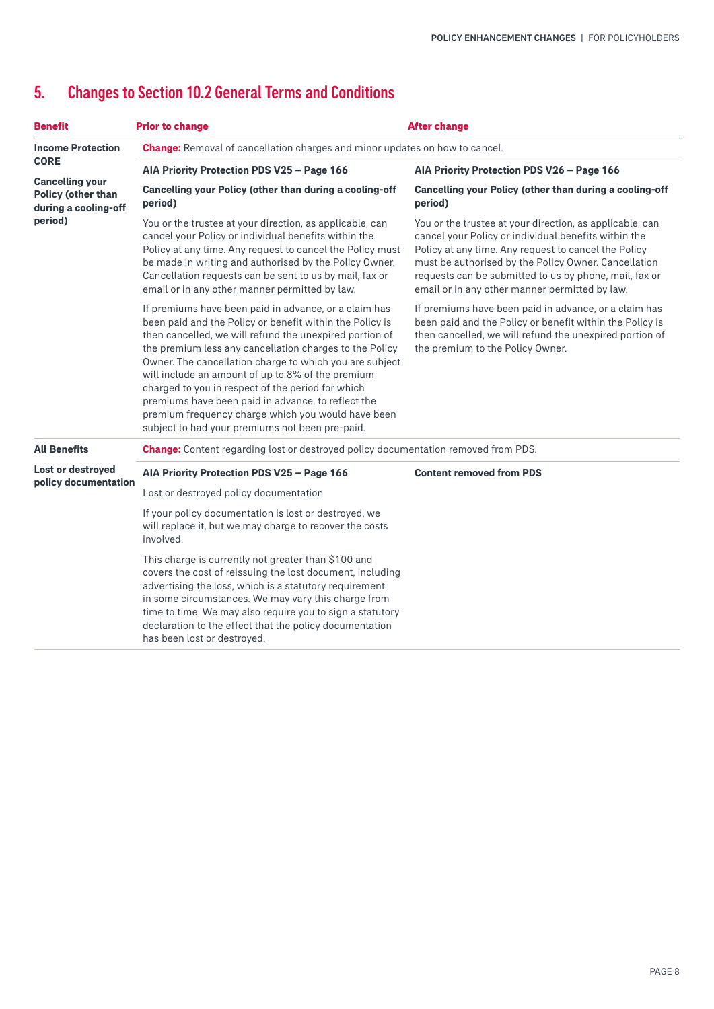| <b>Benefit</b>                                                       | <b>Prior to change</b>                                                                                                                                                                                                                                                                                                                                                                                                                                                                                                                                                      | <b>After change</b>                                                                                                                                                                                                                                                                                                                          |  |
|----------------------------------------------------------------------|-----------------------------------------------------------------------------------------------------------------------------------------------------------------------------------------------------------------------------------------------------------------------------------------------------------------------------------------------------------------------------------------------------------------------------------------------------------------------------------------------------------------------------------------------------------------------------|----------------------------------------------------------------------------------------------------------------------------------------------------------------------------------------------------------------------------------------------------------------------------------------------------------------------------------------------|--|
| <b>Income Protection</b>                                             | <b>Change:</b> Removal of cancellation charges and minor updates on how to cancel.                                                                                                                                                                                                                                                                                                                                                                                                                                                                                          |                                                                                                                                                                                                                                                                                                                                              |  |
| <b>CORE</b>                                                          | AIA Priority Protection PDS V25 - Page 166                                                                                                                                                                                                                                                                                                                                                                                                                                                                                                                                  | AIA Priority Protection PDS V26 - Page 166                                                                                                                                                                                                                                                                                                   |  |
| <b>Cancelling your</b><br>Policy (other than<br>during a cooling-off | Cancelling your Policy (other than during a cooling-off<br>period)                                                                                                                                                                                                                                                                                                                                                                                                                                                                                                          | Cancelling your Policy (other than during a cooling-off<br>period)                                                                                                                                                                                                                                                                           |  |
| period)                                                              | You or the trustee at your direction, as applicable, can<br>cancel your Policy or individual benefits within the<br>Policy at any time. Any request to cancel the Policy must<br>be made in writing and authorised by the Policy Owner.<br>Cancellation requests can be sent to us by mail, fax or<br>email or in any other manner permitted by law.                                                                                                                                                                                                                        | You or the trustee at your direction, as applicable, can<br>cancel your Policy or individual benefits within the<br>Policy at any time. Any request to cancel the Policy<br>must be authorised by the Policy Owner. Cancellation<br>requests can be submitted to us by phone, mail, fax or<br>email or in any other manner permitted by law. |  |
|                                                                      | If premiums have been paid in advance, or a claim has<br>been paid and the Policy or benefit within the Policy is<br>then cancelled, we will refund the unexpired portion of<br>the premium less any cancellation charges to the Policy<br>Owner. The cancellation charge to which you are subject<br>will include an amount of up to 8% of the premium<br>charged to you in respect of the period for which<br>premiums have been paid in advance, to reflect the<br>premium frequency charge which you would have been<br>subject to had your premiums not been pre-paid. | If premiums have been paid in advance, or a claim has<br>been paid and the Policy or benefit within the Policy is<br>then cancelled, we will refund the unexpired portion of<br>the premium to the Policy Owner.                                                                                                                             |  |
| <b>All Benefits</b>                                                  | <b>Change:</b> Content regarding lost or destroyed policy documentation removed from PDS.                                                                                                                                                                                                                                                                                                                                                                                                                                                                                   |                                                                                                                                                                                                                                                                                                                                              |  |
| <b>Lost or destroved</b>                                             | AIA Priority Protection PDS V25 - Page 166                                                                                                                                                                                                                                                                                                                                                                                                                                                                                                                                  | <b>Content removed from PDS</b>                                                                                                                                                                                                                                                                                                              |  |
| policy documentation                                                 | Lost or destroyed policy documentation                                                                                                                                                                                                                                                                                                                                                                                                                                                                                                                                      |                                                                                                                                                                                                                                                                                                                                              |  |
|                                                                      | If your policy documentation is lost or destroyed, we<br>will replace it, but we may charge to recover the costs<br>involved.                                                                                                                                                                                                                                                                                                                                                                                                                                               |                                                                                                                                                                                                                                                                                                                                              |  |
|                                                                      | This charge is currently not greater than \$100 and<br>covers the cost of reissuing the lost document, including<br>advertising the loss, which is a statutory requirement<br>in some circumstances. We may vary this charge from<br>time to time. We may also require you to sign a statutory<br>declaration to the effect that the policy documentation<br>has been lost or destroyed.                                                                                                                                                                                    |                                                                                                                                                                                                                                                                                                                                              |  |

### 5. Changes to Section 10.2 General Terms and Conditions